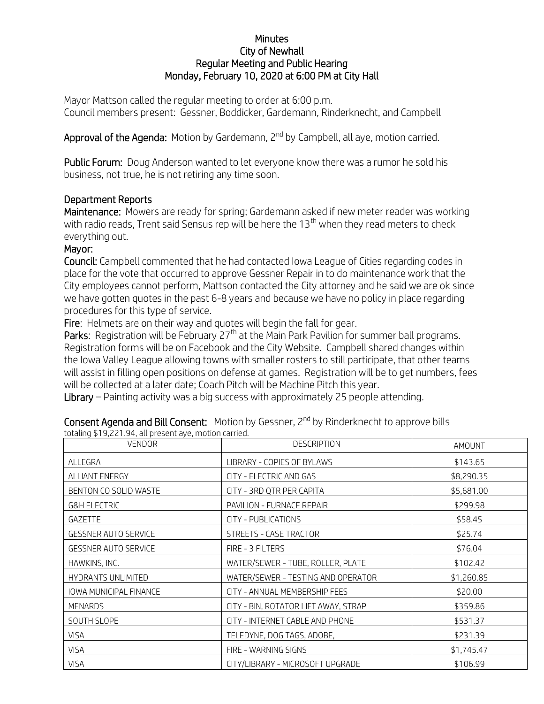### **Minutes** City of Newhall Regular Meeting and Public Hearing Monday, February 10, 2020 at 6:00 PM at City Hall

Mayor Mattson called the regular meeting to order at 6:00 p.m. Council members present: Gessner, Boddicker, Gardemann, Rinderknecht, and Campbell

Approval of the Agenda: Motion by Gardemann, 2<sup>nd</sup> by Campbell, all aye, motion carried.

Public Forum: Doug Anderson wanted to let everyone know there was a rumor he sold his business, not true, he is not retiring any time soon.

# Department Reports

Maintenance: Mowers are ready for spring; Gardemann asked if new meter reader was working with radio reads. Trent said Sensus rep will be here the  $13<sup>th</sup>$  when they read meters to check everything out.

# Mayor:

Council: Campbell commented that he had contacted Iowa League of Cities regarding codes in place for the vote that occurred to approve Gessner Repair in to do maintenance work that the City employees cannot perform, Mattson contacted the City attorney and he said we are ok since we have gotten quotes in the past 6-8 years and because we have no policy in place regarding procedures for this type of service.

Fire: Helmets are on their way and quotes will begin the fall for gear.

Parks: Registration will be February 27<sup>th</sup> at the Main Park Pavilion for summer ball programs. Registration forms will be on Facebook and the City Website. Campbell shared changes within the Iowa Valley League allowing towns with smaller rosters to still participate, that other teams will assist in filling open positions on defense at games. Registration will be to get numbers, fees will be collected at a later date; Coach Pitch will be Machine Pitch this year.

Library – Painting activity was a big success with approximately 25 people attending.

| <b>VENDOR</b>               | <b>DESCRIPTION</b>                   | AMOUNT     |
|-----------------------------|--------------------------------------|------------|
| ALLEGRA                     | LIBRARY - COPIES OF BYLAWS           | \$143.65   |
| ALLIANT ENERGY              | CITY - ELECTRIC AND GAS              | \$8,290.35 |
| BENTON CO SOLID WASTE       | CITY - 3RD QTR PER CAPITA            | \$5,681.00 |
| <b>G&amp;H ELECTRIC</b>     | PAVILION - FURNACE REPAIR            | \$299.98   |
| GAZETTE                     | CITY - PUBLICATIONS                  | \$58.45    |
| <b>GESSNER AUTO SERVICE</b> | STREETS - CASE TRACTOR               | \$25.74    |
| <b>GESSNER AUTO SERVICE</b> | FIRE - 3 FILTERS                     | \$76.04    |
| HAWKINS, INC.               | WATER/SEWER - TUBE, ROLLER, PLATE    | \$102.42   |
| <b>HYDRANTS UNLIMITED</b>   | WATER/SEWER - TESTING AND OPERATOR   | \$1,260.85 |
| IOWA MUNICIPAL FINANCE      | CITY - ANNUAL MEMBERSHIP FEES        | \$20.00    |
| <b>MENARDS</b>              | CITY - BIN, ROTATOR LIFT AWAY, STRAP | \$359.86   |
| SOUTH SLOPE                 | CITY - INTERNET CABLE AND PHONE      | \$531.37   |
| <b>VISA</b>                 | TELEDYNE, DOG TAGS, ADOBE,           | \$231.39   |
| <b>VISA</b>                 | FIRE - WARNING SIGNS                 | \$1,745.47 |
| <b>VISA</b>                 | CITY/LIBRARY - MICROSOFT UPGRADE     | \$106.99   |

#### Consent Agenda and Bill Consent: Motion by Gessner, 2<sup>nd</sup> by Rinderknecht to approve bills totaling \$19,221.94, all present aye, motion carried.